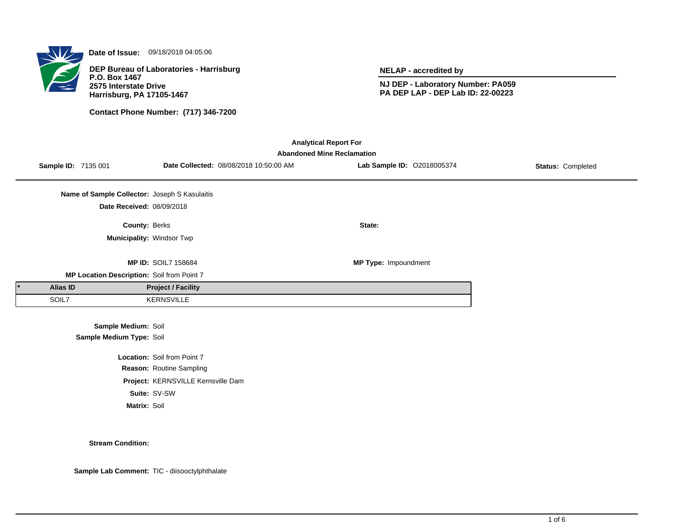

**Date of Issue:** 09/18/2018 04:05:06

**DEP Bureau of Laboratories - Harrisburg P.O. Box 1467 2575 Interstate Drive Harrisburg, PA 17105-1467**

**Contact Phone Number: (717) 346-7200**

**NELAP - accredited by**

**NJ DEP - Laboratory Number: PA059 PA DEP LAP - DEP Lab ID: 22-00223**

| <b>Analytical Report For</b>      |                                               |                                    |                                        |                            |                   |  |  |
|-----------------------------------|-----------------------------------------------|------------------------------------|----------------------------------------|----------------------------|-------------------|--|--|
| <b>Abandoned Mine Reclamation</b> |                                               |                                    |                                        |                            |                   |  |  |
|                                   | Sample ID: 7135 001                           |                                    | Date Collected: 08/08/2018 10:50:00 AM | Lab Sample ID: 02018005374 | Status: Completed |  |  |
|                                   |                                               |                                    |                                        |                            |                   |  |  |
|                                   | Name of Sample Collector: Joseph S Kasulaitis |                                    |                                        |                            |                   |  |  |
|                                   | Date Received: 08/09/2018                     |                                    |                                        |                            |                   |  |  |
|                                   | County: Berks                                 |                                    |                                        | State:                     |                   |  |  |
|                                   |                                               | Municipality: Windsor Twp          |                                        |                            |                   |  |  |
|                                   |                                               |                                    |                                        |                            |                   |  |  |
|                                   |                                               | <b>MP ID: SOIL7 158684</b>         |                                        | MP Type: Impoundment       |                   |  |  |
|                                   | MP Location Description: Soil from Point 7    |                                    |                                        |                            |                   |  |  |
| <b>Alias ID</b>                   |                                               | <b>Project / Facility</b>          |                                        |                            |                   |  |  |
| SOIL7                             |                                               | <b>KERNSVILLE</b>                  |                                        |                            |                   |  |  |
|                                   |                                               |                                    |                                        |                            |                   |  |  |
|                                   | Sample Medium: Soil                           |                                    |                                        |                            |                   |  |  |
|                                   | Sample Medium Type: Soil                      |                                    |                                        |                            |                   |  |  |
|                                   |                                               | Location: Soil from Point 7        |                                        |                            |                   |  |  |
|                                   |                                               | Reason: Routine Sampling           |                                        |                            |                   |  |  |
|                                   |                                               | Project: KERNSVILLE Kernsville Dam |                                        |                            |                   |  |  |
|                                   |                                               | Suite: SV-SW                       |                                        |                            |                   |  |  |
|                                   | Matrix: Soil                                  |                                    |                                        |                            |                   |  |  |

#### **Stream Condition:**

**Sample Lab Comment:** TIC - diisooctylphthalate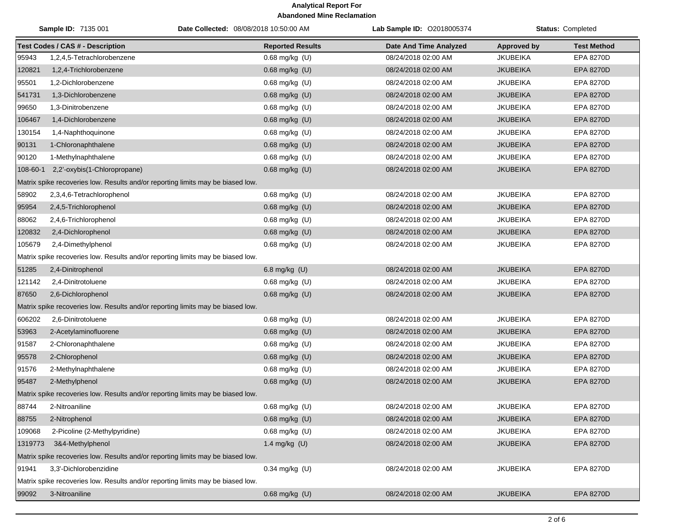| Sample ID: 7135 001                                                             |                                                                                 | Date Collected: 08/08/2018 10:50:00 AM | Lab Sample ID: 02018005374    | <b>Status: Completed</b> |                    |  |  |
|---------------------------------------------------------------------------------|---------------------------------------------------------------------------------|----------------------------------------|-------------------------------|--------------------------|--------------------|--|--|
|                                                                                 | <b>Test Codes / CAS # - Description</b>                                         | <b>Reported Results</b>                | <b>Date And Time Analyzed</b> | Approved by              | <b>Test Method</b> |  |  |
| 95943                                                                           | 1,2,4,5-Tetrachlorobenzene                                                      | $0.68$ mg/kg $(U)$                     | 08/24/2018 02:00 AM           | <b>JKUBEIKA</b>          | <b>EPA 8270D</b>   |  |  |
| 120821                                                                          | 1,2,4-Trichlorobenzene                                                          | 0.68 mg/kg (U)                         | 08/24/2018 02:00 AM           | <b>JKUBEIKA</b>          | EPA 8270D          |  |  |
| 95501                                                                           | 1,2-Dichlorobenzene                                                             | 0.68 mg/kg (U)                         | 08/24/2018 02:00 AM           | <b>JKUBEIKA</b>          | <b>EPA 8270D</b>   |  |  |
| 541731                                                                          | 1,3-Dichlorobenzene                                                             | 0.68 mg/kg (U)                         | 08/24/2018 02:00 AM           | <b>JKUBEIKA</b>          | EPA 8270D          |  |  |
| 99650                                                                           | 1,3-Dinitrobenzene                                                              | 0.68 mg/kg (U)                         | 08/24/2018 02:00 AM           | <b>JKUBEIKA</b>          | <b>EPA 8270D</b>   |  |  |
| 106467                                                                          | 1,4-Dichlorobenzene                                                             | 0.68 mg/kg (U)                         | 08/24/2018 02:00 AM           | <b>JKUBEIKA</b>          | <b>EPA 8270D</b>   |  |  |
| 130154                                                                          | 1,4-Naphthoquinone                                                              | 0.68 mg/kg (U)                         | 08/24/2018 02:00 AM           | <b>JKUBEIKA</b>          | <b>EPA 8270D</b>   |  |  |
| 90131                                                                           | 1-Chloronaphthalene                                                             | 0.68 mg/kg (U)                         | 08/24/2018 02:00 AM           | <b>JKUBEIKA</b>          | <b>EPA 8270D</b>   |  |  |
| 90120                                                                           | 1-Methylnaphthalene                                                             | 0.68 mg/kg (U)                         | 08/24/2018 02:00 AM           | <b>JKUBEIKA</b>          | <b>EPA 8270D</b>   |  |  |
| 108-60-1                                                                        | 2,2'-oxybis(1-Chloropropane)                                                    | 0.68 mg/kg (U)                         | 08/24/2018 02:00 AM           | <b>JKUBEIKA</b>          | EPA 8270D          |  |  |
|                                                                                 | Matrix spike recoveries low. Results and/or reporting limits may be biased low. |                                        |                               |                          |                    |  |  |
| 58902                                                                           | 2,3,4,6-Tetrachlorophenol                                                       | 0.68 mg/kg (U)                         | 08/24/2018 02:00 AM           | <b>JKUBEIKA</b>          | <b>EPA 8270D</b>   |  |  |
| 95954                                                                           | 2,4,5-Trichlorophenol                                                           | 0.68 mg/kg (U)                         | 08/24/2018 02:00 AM           | <b>JKUBEIKA</b>          | <b>EPA 8270D</b>   |  |  |
| 88062                                                                           | 2,4,6-Trichlorophenol                                                           | 0.68 mg/kg (U)                         | 08/24/2018 02:00 AM           | <b>JKUBEIKA</b>          | <b>EPA 8270D</b>   |  |  |
| 120832                                                                          | 2,4-Dichlorophenol                                                              | 0.68 mg/kg (U)                         | 08/24/2018 02:00 AM           | <b>JKUBEIKA</b>          | EPA 8270D          |  |  |
| 105679                                                                          | 2,4-Dimethylphenol                                                              | $0.68$ mg/kg $(U)$                     | 08/24/2018 02:00 AM           | <b>JKUBEIKA</b>          | EPA 8270D          |  |  |
|                                                                                 | Matrix spike recoveries low. Results and/or reporting limits may be biased low. |                                        |                               |                          |                    |  |  |
| 51285                                                                           | 2,4-Dinitrophenol                                                               | 6.8 mg/kg (U)                          | 08/24/2018 02:00 AM           | <b>JKUBEIKA</b>          | <b>EPA 8270D</b>   |  |  |
| 121142                                                                          | 2,4-Dinitrotoluene                                                              | 0.68 mg/kg (U)                         | 08/24/2018 02:00 AM           | <b>JKUBEIKA</b>          | <b>EPA 8270D</b>   |  |  |
| 87650                                                                           | 2,6-Dichlorophenol                                                              | 0.68 mg/kg (U)                         | 08/24/2018 02:00 AM           | <b>JKUBEIKA</b>          | <b>EPA 8270D</b>   |  |  |
|                                                                                 | Matrix spike recoveries low. Results and/or reporting limits may be biased low. |                                        |                               |                          |                    |  |  |
| 606202                                                                          | 2,6-Dinitrotoluene                                                              | 0.68 mg/kg (U)                         | 08/24/2018 02:00 AM           | <b>JKUBEIKA</b>          | <b>EPA 8270D</b>   |  |  |
| 53963                                                                           | 2-Acetylaminofluorene                                                           | 0.68 mg/kg (U)                         | 08/24/2018 02:00 AM           | <b>JKUBEIKA</b>          | <b>EPA 8270D</b>   |  |  |
| 91587                                                                           | 2-Chloronaphthalene                                                             | 0.68 mg/kg (U)                         | 08/24/2018 02:00 AM           | <b>JKUBEIKA</b>          | <b>EPA 8270D</b>   |  |  |
| 95578                                                                           | 2-Chlorophenol                                                                  | 0.68 mg/kg (U)                         | 08/24/2018 02:00 AM           | <b>JKUBEIKA</b>          | EPA 8270D          |  |  |
| 91576                                                                           | 2-Methylnaphthalene                                                             | $0.68$ mg/kg $(U)$                     | 08/24/2018 02:00 AM           | <b>JKUBEIKA</b>          | EPA 8270D          |  |  |
| 95487                                                                           | 2-Methylphenol                                                                  | 0.68 mg/kg (U)                         | 08/24/2018 02:00 AM           | <b>JKUBEIKA</b>          | <b>EPA 8270D</b>   |  |  |
|                                                                                 | Matrix spike recoveries low. Results and/or reporting limits may be biased low. |                                        |                               |                          |                    |  |  |
| 88744                                                                           | 2-Nitroaniline                                                                  | 0.68 mg/kg (U)                         | 08/24/2018 02:00 AM           | <b>JKUBEIKA</b>          | <b>EPA 8270D</b>   |  |  |
| 88755                                                                           | 2-Nitrophenol                                                                   | 0.68 mg/kg (U)                         | 08/24/2018 02:00 AM           | <b>JKUBEIKA</b>          | <b>EPA 8270D</b>   |  |  |
| 109068                                                                          | 2-Picoline (2-Methylpyridine)                                                   | $0.68$ mg/kg $(U)$                     | 08/24/2018 02:00 AM           | <b>JKUBEIKA</b>          | EPA 8270D          |  |  |
| 1319773                                                                         | 3&4-Methylphenol                                                                | 1.4 mg/kg $(U)$                        | 08/24/2018 02:00 AM           | <b>JKUBEIKA</b>          | EPA 8270D          |  |  |
|                                                                                 | Matrix spike recoveries low. Results and/or reporting limits may be biased low. |                                        |                               |                          |                    |  |  |
| 91941                                                                           | 3,3'-Dichlorobenzidine                                                          | $0.34$ mg/kg (U)                       | 08/24/2018 02:00 AM           | <b>JKUBEIKA</b>          | EPA 8270D          |  |  |
| Matrix spike recoveries low. Results and/or reporting limits may be biased low. |                                                                                 |                                        |                               |                          |                    |  |  |
| 99092                                                                           | 3-Nitroaniline                                                                  | $0.68$ mg/kg $(U)$                     | 08/24/2018 02:00 AM           | <b>JKUBEIKA</b>          | EPA 8270D          |  |  |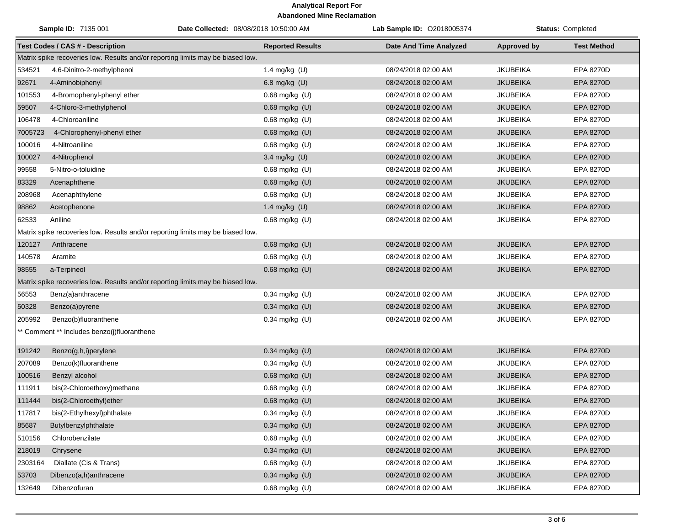| Sample ID: 7135 001                                                             |                                                                                 |  | Date Collected: 08/08/2018 10:50:00 AM | Lab Sample ID: 02018005374    | <b>Status: Completed</b> |                    |  |
|---------------------------------------------------------------------------------|---------------------------------------------------------------------------------|--|----------------------------------------|-------------------------------|--------------------------|--------------------|--|
|                                                                                 | <b>Test Codes / CAS # - Description</b>                                         |  | <b>Reported Results</b>                | <b>Date And Time Analyzed</b> | <b>Approved by</b>       | <b>Test Method</b> |  |
| Matrix spike recoveries low. Results and/or reporting limits may be biased low. |                                                                                 |  |                                        |                               |                          |                    |  |
| 534521                                                                          | 4,6-Dinitro-2-methylphenol                                                      |  | 1.4 mg/kg (U)                          | 08/24/2018 02:00 AM           | <b>JKUBEIKA</b>          | <b>EPA 8270D</b>   |  |
| 92671                                                                           | 4-Aminobiphenyl                                                                 |  | 6.8 mg/kg (U)                          | 08/24/2018 02:00 AM           | <b>JKUBEIKA</b>          | <b>EPA 8270D</b>   |  |
| 101553                                                                          | 4-Bromophenyl-phenyl ether                                                      |  | $0.68$ mg/kg $(U)$                     | 08/24/2018 02:00 AM           | <b>JKUBEIKA</b>          | EPA 8270D          |  |
| 59507                                                                           | 4-Chloro-3-methylphenol                                                         |  | 0.68 mg/kg (U)                         | 08/24/2018 02:00 AM           | <b>JKUBEIKA</b>          | <b>EPA 8270D</b>   |  |
| 106478                                                                          | 4-Chloroaniline                                                                 |  | 0.68 mg/kg (U)                         | 08/24/2018 02:00 AM           | <b>JKUBEIKA</b>          | EPA 8270D          |  |
| 7005723                                                                         | 4-Chlorophenyl-phenyl ether                                                     |  | 0.68 mg/kg (U)                         | 08/24/2018 02:00 AM           | <b>JKUBEIKA</b>          | <b>EPA 8270D</b>   |  |
| 100016                                                                          | 4-Nitroaniline                                                                  |  | $0.68$ mg/kg $(U)$                     | 08/24/2018 02:00 AM           | <b>JKUBEIKA</b>          | <b>EPA 8270D</b>   |  |
| 100027                                                                          | 4-Nitrophenol                                                                   |  | 3.4 mg/kg (U)                          | 08/24/2018 02:00 AM           | <b>JKUBEIKA</b>          | EPA 8270D          |  |
| 99558                                                                           | 5-Nitro-o-toluidine                                                             |  | 0.68 mg/kg (U)                         | 08/24/2018 02:00 AM           | JKUBEIKA                 | <b>EPA 8270D</b>   |  |
| 83329                                                                           | Acenaphthene                                                                    |  | 0.68 mg/kg (U)                         | 08/24/2018 02:00 AM           | <b>JKUBEIKA</b>          | EPA 8270D          |  |
| 208968                                                                          | Acenaphthylene                                                                  |  | $0.68$ mg/kg $(U)$                     | 08/24/2018 02:00 AM           | <b>JKUBEIKA</b>          | EPA 8270D          |  |
| 98862                                                                           | Acetophenone                                                                    |  | 1.4 mg/kg (U)                          | 08/24/2018 02:00 AM           | <b>JKUBEIKA</b>          | <b>EPA 8270D</b>   |  |
| 62533                                                                           | Aniline                                                                         |  | 0.68 mg/kg (U)                         | 08/24/2018 02:00 AM           | <b>JKUBEIKA</b>          | EPA 8270D          |  |
|                                                                                 | Matrix spike recoveries low. Results and/or reporting limits may be biased low. |  |                                        |                               |                          |                    |  |
| 120127                                                                          | Anthracene                                                                      |  | 0.68 mg/kg (U)                         | 08/24/2018 02:00 AM           | <b>JKUBEIKA</b>          | <b>EPA 8270D</b>   |  |
| 140578                                                                          | Aramite                                                                         |  | $0.68$ mg/kg (U)                       | 08/24/2018 02:00 AM           | <b>JKUBEIKA</b>          | <b>EPA 8270D</b>   |  |
| 98555                                                                           | a-Terpineol                                                                     |  | 0.68 mg/kg (U)                         | 08/24/2018 02:00 AM           | <b>JKUBEIKA</b>          | <b>EPA 8270D</b>   |  |
|                                                                                 | Matrix spike recoveries low. Results and/or reporting limits may be biased low. |  |                                        |                               |                          |                    |  |
| 56553                                                                           | Benz(a)anthracene                                                               |  | $0.34$ mg/kg (U)                       | 08/24/2018 02:00 AM           | <b>JKUBEIKA</b>          | <b>EPA 8270D</b>   |  |
| 50328                                                                           | Benzo(a)pyrene                                                                  |  | 0.34 mg/kg (U)                         | 08/24/2018 02:00 AM           | <b>JKUBEIKA</b>          | <b>EPA 8270D</b>   |  |
| 205992                                                                          | Benzo(b)fluoranthene                                                            |  | 0.34 mg/kg (U)                         | 08/24/2018 02:00 AM           | <b>JKUBEIKA</b>          | EPA 8270D          |  |
|                                                                                 | ** Comment ** Includes benzo(j)fluoranthene                                     |  |                                        |                               |                          |                    |  |
| 191242                                                                          | Benzo(g,h,i)perylene                                                            |  | 0.34 mg/kg (U)                         | 08/24/2018 02:00 AM           | <b>JKUBEIKA</b>          | <b>EPA 8270D</b>   |  |
| 207089                                                                          | Benzo(k)fluoranthene                                                            |  | $0.34$ mg/kg (U)                       | 08/24/2018 02:00 AM           | <b>JKUBEIKA</b>          | <b>EPA 8270D</b>   |  |
| 100516                                                                          | Benzyl alcohol                                                                  |  | 0.68 mg/kg (U)                         | 08/24/2018 02:00 AM           | <b>JKUBEIKA</b>          | EPA 8270D          |  |
| 111911                                                                          | bis(2-Chloroethoxy)methane                                                      |  | $0.68$ mg/kg $(U)$                     | 08/24/2018 02:00 AM           | <b>JKUBEIKA</b>          | EPA 8270D          |  |
| 111444                                                                          | bis(2-Chloroethyl)ether                                                         |  | 0.68 mg/kg (U)                         | 08/24/2018 02:00 AM           | <b>JKUBEIKA</b>          | EPA 8270D          |  |
| 117817                                                                          | bis(2-Ethylhexyl)phthalate                                                      |  | $0.34$ mg/kg $(U)$                     | 08/24/2018 02:00 AM           | <b>JKUBEIKA</b>          | EPA 8270D          |  |
| 85687                                                                           | Butylbenzylphthalate                                                            |  | 0.34 mg/kg (U)                         | 08/24/2018 02:00 AM           | <b>JKUBEIKA</b>          | EPA 8270D          |  |
| 510156                                                                          | Chlorobenzilate                                                                 |  | $0.68$ mg/kg $(U)$                     | 08/24/2018 02:00 AM           | <b>JKUBEIKA</b>          | EPA 8270D          |  |
| 218019                                                                          | Chrysene                                                                        |  | 0.34 mg/kg (U)                         | 08/24/2018 02:00 AM           | <b>JKUBEIKA</b>          | EPA 8270D          |  |
| 2303164                                                                         | Diallate (Cis & Trans)                                                          |  | 0.68 mg/kg (U)                         | 08/24/2018 02:00 AM           | <b>JKUBEIKA</b>          | EPA 8270D          |  |
| 53703                                                                           | Dibenzo(a,h)anthracene                                                          |  | 0.34 mg/kg (U)                         | 08/24/2018 02:00 AM           | <b>JKUBEIKA</b>          | EPA 8270D          |  |
| 132649                                                                          | Dibenzofuran                                                                    |  | 0.68 mg/kg (U)                         | 08/24/2018 02:00 AM           | <b>JKUBEIKA</b>          | EPA 8270D          |  |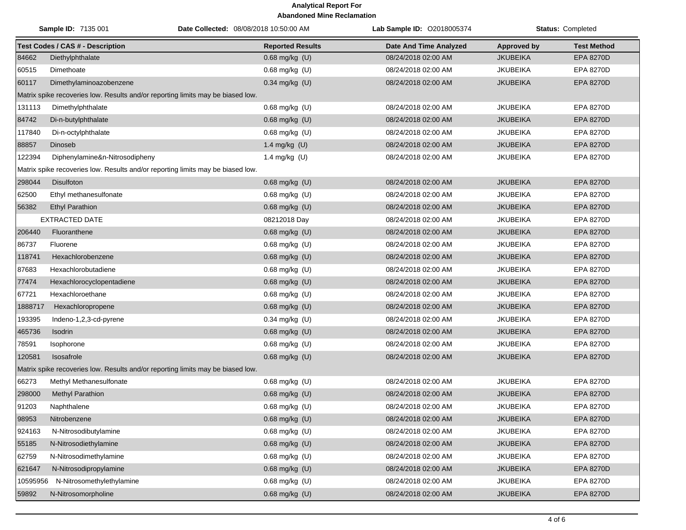| Sample ID: 7135 001 |                                                                                 | Date Collected: 08/08/2018 10:50:00 AM | Lab Sample ID: 02018005374 | <b>Status: Completed</b> |                    |
|---------------------|---------------------------------------------------------------------------------|----------------------------------------|----------------------------|--------------------------|--------------------|
|                     | <b>Test Codes / CAS # - Description</b>                                         | <b>Reported Results</b>                | Date And Time Analyzed     | <b>Approved by</b>       | <b>Test Method</b> |
| 84662               | Diethylphthalate                                                                | $0.68$ mg/kg $(U)$                     | 08/24/2018 02:00 AM        | <b>JKUBEIKA</b>          | EPA 8270D          |
| 60515               | Dimethoate                                                                      | 0.68 mg/kg (U)                         | 08/24/2018 02:00 AM        | <b>JKUBEIKA</b>          | EPA 8270D          |
| 60117               | Dimethylaminoazobenzene                                                         | $0.34$ mg/kg (U)                       | 08/24/2018 02:00 AM        | <b>JKUBEIKA</b>          | <b>EPA 8270D</b>   |
|                     | Matrix spike recoveries low. Results and/or reporting limits may be biased low. |                                        |                            |                          |                    |
| 131113              | Dimethylphthalate                                                               | 0.68 mg/kg (U)                         | 08/24/2018 02:00 AM        | <b>JKUBEIKA</b>          | EPA 8270D          |
| 84742               | Di-n-butylphthalate                                                             | 0.68 mg/kg (U)                         | 08/24/2018 02:00 AM        | <b>JKUBEIKA</b>          | <b>EPA 8270D</b>   |
| 117840              | Di-n-octylphthalate                                                             | 0.68 mg/kg (U)                         | 08/24/2018 02:00 AM        | <b>JKUBEIKA</b>          | <b>EPA 8270D</b>   |
| 88857               | Dinoseb                                                                         | 1.4 mg/kg (U)                          | 08/24/2018 02:00 AM        | <b>JKUBEIKA</b>          | <b>EPA 8270D</b>   |
| 122394              | Diphenylamine&n-Nitrosodipheny                                                  | 1.4 mg/kg (U)                          | 08/24/2018 02:00 AM        | <b>JKUBEIKA</b>          | EPA 8270D          |
|                     | Matrix spike recoveries low. Results and/or reporting limits may be biased low. |                                        |                            |                          |                    |
| 298044              | <b>Disulfoton</b>                                                               | $0.68$ mg/kg $(U)$                     | 08/24/2018 02:00 AM        | <b>JKUBEIKA</b>          | <b>EPA 8270D</b>   |
| 62500               | Ethyl methanesulfonate                                                          | $0.68$ mg/kg (U)                       | 08/24/2018 02:00 AM        | <b>JKUBEIKA</b>          | <b>EPA 8270D</b>   |
| 56382               | <b>Ethyl Parathion</b>                                                          | 0.68 mg/kg (U)                         | 08/24/2018 02:00 AM        | <b>JKUBEIKA</b>          | <b>EPA 8270D</b>   |
|                     | <b>EXTRACTED DATE</b>                                                           | 08212018 Day                           | 08/24/2018 02:00 AM        | <b>JKUBEIKA</b>          | EPA 8270D          |
| 206440              | Fluoranthene                                                                    | $0.68$ mg/kg $(U)$                     | 08/24/2018 02:00 AM        | <b>JKUBEIKA</b>          | <b>EPA 8270D</b>   |
| 86737               | Fluorene                                                                        | $0.68$ mg/kg $(U)$                     | 08/24/2018 02:00 AM        | <b>JKUBEIKA</b>          | EPA 8270D          |
| 118741              | Hexachlorobenzene                                                               | 0.68 mg/kg (U)                         | 08/24/2018 02:00 AM        | <b>JKUBEIKA</b>          | <b>EPA 8270D</b>   |
| 87683               | Hexachlorobutadiene                                                             | $0.68$ mg/kg (U)                       | 08/24/2018 02:00 AM        | <b>JKUBEIKA</b>          | <b>EPA 8270D</b>   |
| 77474               | Hexachlorocyclopentadiene                                                       | 0.68 mg/kg (U)                         | 08/24/2018 02:00 AM        | <b>JKUBEIKA</b>          | <b>EPA 8270D</b>   |
| 67721               | Hexachloroethane                                                                | 0.68 mg/kg (U)                         | 08/24/2018 02:00 AM        | <b>JKUBEIKA</b>          | EPA 8270D          |
| 1888717             | Hexachloropropene                                                               | 0.68 mg/kg (U)                         | 08/24/2018 02:00 AM        | <b>JKUBEIKA</b>          | <b>EPA 8270D</b>   |
| 193395              | Indeno-1,2,3-cd-pyrene                                                          | $0.34$ mg/kg (U)                       | 08/24/2018 02:00 AM        | <b>JKUBEIKA</b>          | <b>EPA 8270D</b>   |
| 465736              | <b>Isodrin</b>                                                                  | 0.68 mg/kg (U)                         | 08/24/2018 02:00 AM        | <b>JKUBEIKA</b>          | <b>EPA 8270D</b>   |
| 78591               | Isophorone                                                                      | 0.68 mg/kg (U)                         | 08/24/2018 02:00 AM        | <b>JKUBEIKA</b>          | EPA 8270D          |
| 120581              | <b>Isosafrole</b>                                                               | $0.68$ mg/kg $(U)$                     | 08/24/2018 02:00 AM        | <b>JKUBEIKA</b>          | <b>EPA 8270D</b>   |
|                     | Matrix spike recoveries low. Results and/or reporting limits may be biased low. |                                        |                            |                          |                    |
| 66273               | Methyl Methanesulfonate                                                         | 0.68 mg/kg (U)                         | 08/24/2018 02:00 AM        | <b>JKUBEIKA</b>          | <b>EPA 8270D</b>   |
| 298000              | <b>Methyl Parathion</b>                                                         | $0.68$ mg/kg (U)                       | 08/24/2018 02:00 AM        | <b>JKUBEIKA</b>          | <b>EPA 8270D</b>   |
| 91203               | Naphthalene                                                                     | 0.68 mg/kg (U)                         | 08/24/2018 02:00 AM        | <b>JKUBEIKA</b>          | EPA 8270D          |
| 98953               | Nitrobenzene                                                                    | 0.68 mg/kg (U)                         | 08/24/2018 02:00 AM        | <b>JKUBEIKA</b>          | <b>EPA 8270D</b>   |
| 924163              | N-Nitrosodibutylamine                                                           | $0.68$ mg/kg $(U)$                     | 08/24/2018 02:00 AM        | <b>JKUBEIKA</b>          | EPA 8270D          |
| 55185               | N-Nitrosodiethylamine                                                           | $0.68$ mg/kg $(U)$                     | 08/24/2018 02:00 AM        | <b>JKUBEIKA</b>          | EPA 8270D          |
| 62759               | N-Nitrosodimethylamine                                                          | $0.68$ mg/kg $(U)$                     | 08/24/2018 02:00 AM        | JKUBEIKA                 | EPA 8270D          |
| 621647              | N-Nitrosodipropylamine                                                          | 0.68 mg/kg (U)                         | 08/24/2018 02:00 AM        | <b>JKUBEIKA</b>          | EPA 8270D          |
| 10595956            | N-Nitrosomethylethylamine                                                       | $0.68$ mg/kg $(U)$                     | 08/24/2018 02:00 AM        | <b>JKUBEIKA</b>          | EPA 8270D          |
| 59892               | N-Nitrosomorpholine                                                             | 0.68 mg/kg (U)                         | 08/24/2018 02:00 AM        | <b>JKUBEIKA</b>          | EPA 8270D          |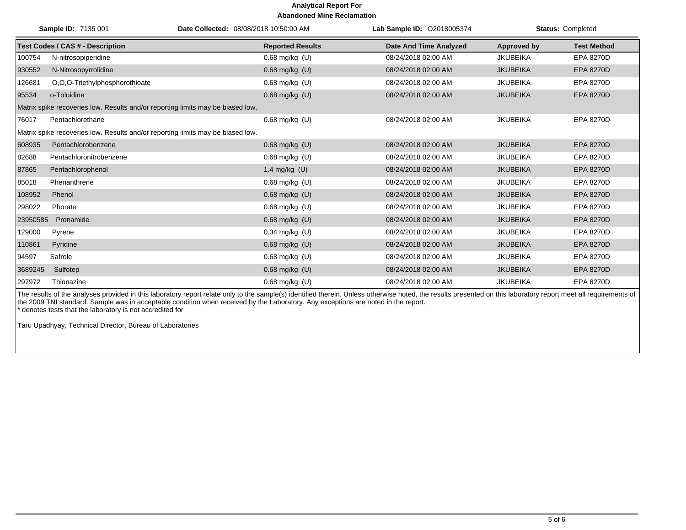|          | Sample ID: 7135 001                                                             | Date Collected: 08/08/2018 10:50:00 AM | Lab Sample ID: 02018005374    |                 | <b>Status: Completed</b> |  |  |
|----------|---------------------------------------------------------------------------------|----------------------------------------|-------------------------------|-----------------|--------------------------|--|--|
|          | <b>Test Codes / CAS # - Description</b>                                         | <b>Reported Results</b>                | <b>Date And Time Analyzed</b> | Approved by     | <b>Test Method</b>       |  |  |
| 100754   | N-nitrosopiperidine                                                             | $0.68$ mg/kg $(U)$                     | 08/24/2018 02:00 AM           | <b>JKUBEIKA</b> | <b>EPA 8270D</b>         |  |  |
| 930552   | N-Nitrosopyrrolidine                                                            | 0.68 mg/kg (U)                         | 08/24/2018 02:00 AM           | <b>JKUBEIKA</b> | <b>EPA 8270D</b>         |  |  |
| 126681   | O,O,O-Triethylphosphorothioate                                                  | $0.68$ mg/kg $(U)$                     | 08/24/2018 02:00 AM           | <b>JKUBEIKA</b> | <b>EPA 8270D</b>         |  |  |
| 95534    | o-Toluidine                                                                     | $0.68$ mg/kg $(U)$                     | 08/24/2018 02:00 AM           | <b>JKUBEIKA</b> | <b>EPA 8270D</b>         |  |  |
|          | Matrix spike recoveries low. Results and/or reporting limits may be biased low. |                                        |                               |                 |                          |  |  |
| 76017    | Pentachlorethane                                                                | $0.68$ mg/kg $(U)$                     | 08/24/2018 02:00 AM           | <b>JKUBEIKA</b> | <b>EPA 8270D</b>         |  |  |
|          | Matrix spike recoveries low. Results and/or reporting limits may be biased low. |                                        |                               |                 |                          |  |  |
| 608935   | Pentachlorobenzene                                                              | $0.68$ mg/kg $(U)$                     | 08/24/2018 02:00 AM           | <b>JKUBEIKA</b> | <b>EPA 8270D</b>         |  |  |
| 82688    | Pentachloronitrobenzene                                                         | $0.68$ mg/kg $(U)$                     | 08/24/2018 02:00 AM           | <b>JKUBEIKA</b> | <b>EPA 8270D</b>         |  |  |
| 87865    | Pentachlorophenol                                                               | 1.4 mg/kg $(U)$                        | 08/24/2018 02:00 AM           | <b>JKUBEIKA</b> | <b>EPA 8270D</b>         |  |  |
| 85018    | Phenanthrene                                                                    | $0.68$ mg/kg $(U)$                     | 08/24/2018 02:00 AM           | <b>JKUBEIKA</b> | EPA 8270D                |  |  |
| 108952   | Phenol                                                                          | 0.68 mg/kg (U)                         | 08/24/2018 02:00 AM           | <b>JKUBEIKA</b> | <b>EPA 8270D</b>         |  |  |
| 298022   | Phorate                                                                         | $0.68$ mg/kg $(U)$                     | 08/24/2018 02:00 AM           | <b>JKUBEIKA</b> | EPA 8270D                |  |  |
| 23950585 | Pronamide                                                                       | $0.68$ mg/kg $(U)$                     | 08/24/2018 02:00 AM           | <b>JKUBEIKA</b> | <b>EPA 8270D</b>         |  |  |
| 129000   | Pyrene                                                                          | $0.34$ mg/kg (U)                       | 08/24/2018 02:00 AM           | <b>JKUBEIKA</b> | <b>EPA 8270D</b>         |  |  |
| 110861   | Pyridine                                                                        | $0.68$ mg/kg $(U)$                     | 08/24/2018 02:00 AM           | <b>JKUBEIKA</b> | <b>EPA 8270D</b>         |  |  |
| 94597    | Safrole                                                                         | 0.68 mg/kg (U)                         | 08/24/2018 02:00 AM           | <b>JKUBEIKA</b> | <b>EPA 8270D</b>         |  |  |
| 3689245  | Sulfotep                                                                        | 0.68 mg/kg (U)                         | 08/24/2018 02:00 AM           | <b>JKUBEIKA</b> | <b>EPA 8270D</b>         |  |  |
| 297972   | Thionazine                                                                      | $0.68$ mg/kg $(U)$                     | 08/24/2018 02:00 AM           | <b>JKUBEIKA</b> | <b>EPA 8270D</b>         |  |  |

The results of the analyses provided in this laboratory report relate only to the sample(s) identified therein. Unless otherwise noted, the results presented on this laboratory report meet all requirements of the 2009 TNI standard. Sample was in acceptable condition when received by the Laboratory. Any exceptions are noted in the report. \* denotes tests that the laboratory is not accredited for

Taru Upadhyay, Technical Director, Bureau of Laboratories